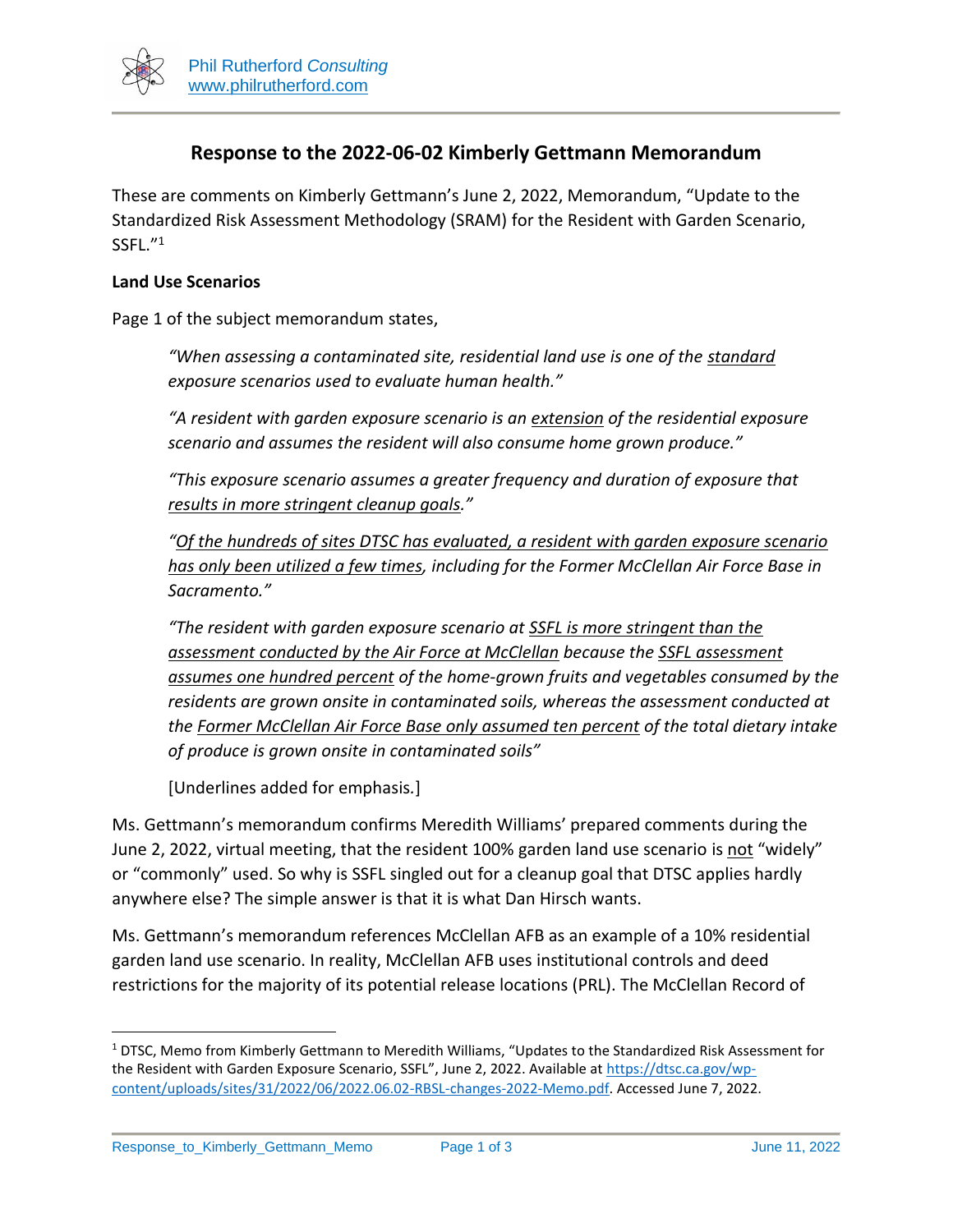

# **Response to the 2022-06-02 Kimberly Gettmann Memorandum**

These are comments on Kimberly Gettmann's June 2, 2022, Memorandum, "Update to the Standardized Risk Assessment Methodology (SRAM) for the Resident with Garden Scenario,  $S$ SFL. $^{\prime\prime}{}^{1}$ 

#### **Land Use Scenarios**

Page 1 of the subject memorandum states,

*"When assessing a contaminated site, residential land use is one of the standard exposure scenarios used to evaluate human health."*

*"A resident with garden exposure scenario is an extension of the residential exposure scenario and assumes the resident will also consume home grown produce."*

*"This exposure scenario assumes a greater frequency and duration of exposure that results in more stringent cleanup goals."*

*"Of the hundreds of sites DTSC has evaluated, a resident with garden exposure scenario has only been utilized a few times, including for the Former McClellan Air Force Base in Sacramento."*

*"The resident with garden exposure scenario at SSFL is more stringent than the assessment conducted by the Air Force at McClellan because the SSFL assessment assumes one hundred percent of the home-grown fruits and vegetables consumed by the residents are grown onsite in contaminated soils, whereas the assessment conducted at the Former McClellan Air Force Base only assumed ten percent of the total dietary intake of produce is grown onsite in contaminated soils"*

[Underlines added for emphasis*.*]

Ms. Gettmann's memorandum confirms Meredith Williams' prepared comments during the June 2, 2022, virtual meeting, that the resident 100% garden land use scenario is not "widely" or "commonly" used. So why is SSFL singled out for a cleanup goal that DTSC applies hardly anywhere else? The simple answer is that it is what Dan Hirsch wants.

Ms. Gettmann's memorandum references McClellan AFB as an example of a 10% residential garden land use scenario. In reality, McClellan AFB uses institutional controls and deed restrictions for the majority of its potential release locations (PRL). The McClellan Record of

<sup>1</sup> DTSC, Memo from Kimberly Gettmann to Meredith Williams, "Updates to the Standardized Risk Assessment for the Resident with Garden Exposure Scenario, SSFL", June 2, 2022. Available at [https://dtsc.ca.gov/wp](https://dtsc.ca.gov/wp-content/uploads/sites/31/2022/06/2022.06.02-RBSL-changes-2022-Memo.pdf)[content/uploads/sites/31/2022/06/2022.06.02-RBSL-changes-2022-Memo.pdf.](https://dtsc.ca.gov/wp-content/uploads/sites/31/2022/06/2022.06.02-RBSL-changes-2022-Memo.pdf) Accessed June 7, 2022.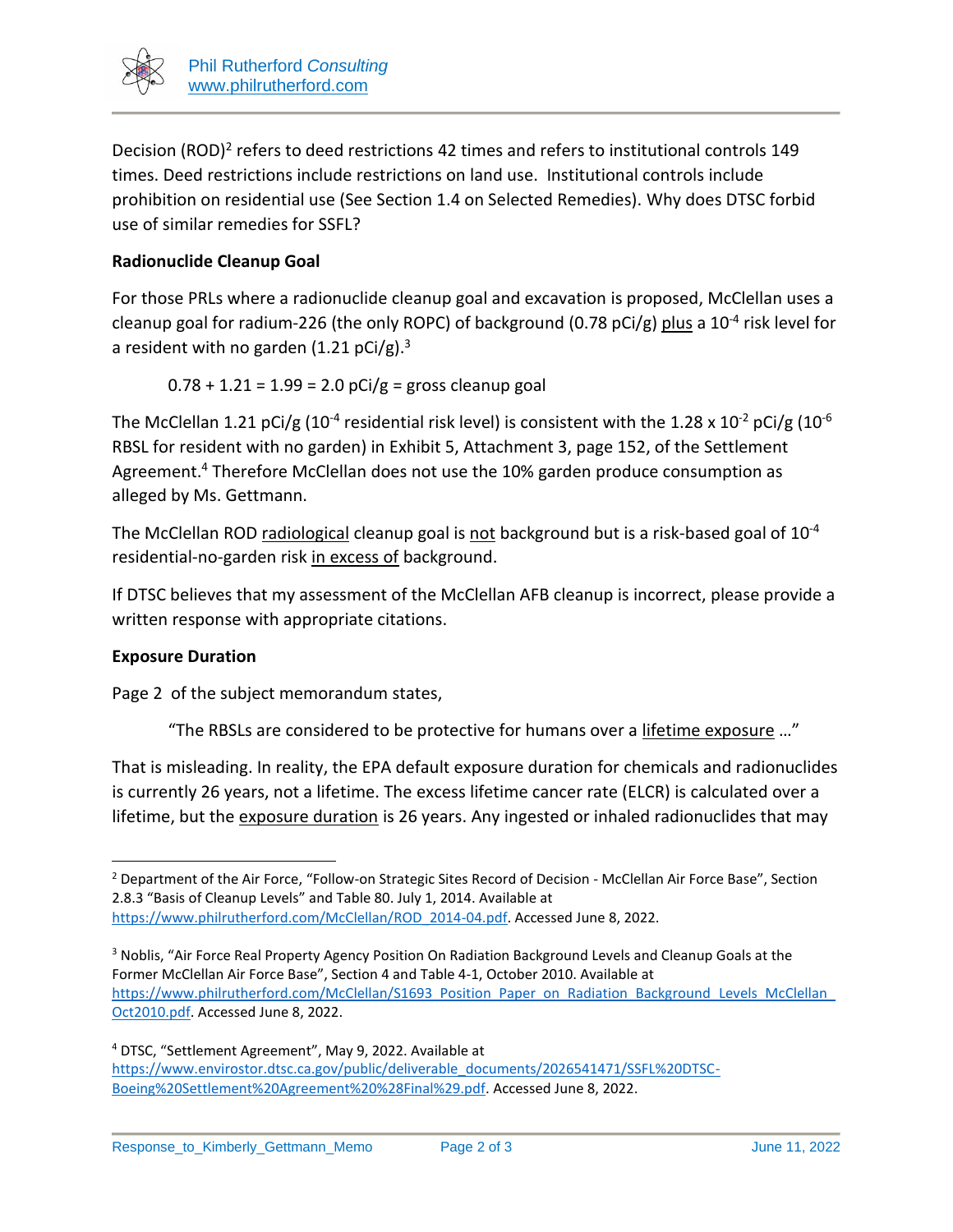

Decision (ROD)<sup>2</sup> refers to deed restrictions 42 times and refers to institutional controls 149 times. Deed restrictions include restrictions on land use. Institutional controls include prohibition on residential use (See Section 1.4 on Selected Remedies). Why does DTSC forbid use of similar remedies for SSFL?

# **Radionuclide Cleanup Goal**

For those PRLs where a radionuclide cleanup goal and excavation is proposed, McClellan uses a cleanup goal for radium-226 (the only ROPC) of background (0.78 pCi/g) plus a 10<sup>-4</sup> risk level for a resident with no garden  $(1.21 \text{ pCi/g})$ .<sup>3</sup>

 $0.78 + 1.21 = 1.99 = 2.0$  pCi/g = gross cleanup goal

The McClellan 1.21 pCi/g (10<sup>-4</sup> residential risk level) is consistent with the 1.28 x 10<sup>-2</sup> pCi/g (10<sup>-6</sup> RBSL for resident with no garden) in Exhibit 5, Attachment 3, page 152, of the Settlement Agreement.<sup>4</sup> Therefore McClellan does not use the 10% garden produce consumption as alleged by Ms. Gettmann.

The McClellan ROD radiological cleanup goal is not background but is a risk-based goal of 10<sup>-4</sup> residential-no-garden risk in excess of background.

If DTSC believes that my assessment of the McClellan AFB cleanup is incorrect, please provide a written response with appropriate citations.

### **Exposure Duration**

Page 2 of the subject memorandum states,

"The RBSLs are considered to be protective for humans over a lifetime exposure ..."

That is misleading. In reality, the EPA default exposure duration for chemicals and radionuclides is currently 26 years, not a lifetime. The excess lifetime cancer rate (ELCR) is calculated over a lifetime, but the exposure duration is 26 years. Any ingested or inhaled radionuclides that may

<sup>&</sup>lt;sup>2</sup> Department of the Air Force, "Follow-on Strategic Sites Record of Decision - McClellan Air Force Base", Section 2.8.3 "Basis of Cleanup Levels" and Table 80. July 1, 2014. Available at

[https://www.philrutherford.com/McClellan/ROD\\_2014-04.pdf.](https://www.philrutherford.com/McClellan/ROD_2014-04.pdf) Accessed June 8, 2022.

<sup>3</sup> Noblis, "Air Force Real Property Agency Position On Radiation Background Levels and Cleanup Goals at the Former McClellan Air Force Base", Section 4 and Table 4-1, October 2010. Available at [https://www.philrutherford.com/McClellan/S1693\\_Position\\_Paper\\_on\\_Radiation\\_Background\\_Levels\\_McClellan\\_](https://www.philrutherford.com/McClellan/S1693_Position_Paper_on_Radiation_Background_Levels_McClellan_Oct2010.pdf) [Oct2010.pdf.](https://www.philrutherford.com/McClellan/S1693_Position_Paper_on_Radiation_Background_Levels_McClellan_Oct2010.pdf) Accessed June 8, 2022.

<sup>4</sup> DTSC, "Settlement Agreement", May 9, 2022. Available at [https://www.envirostor.dtsc.ca.gov/public/deliverable\\_documents/2026541471/SSFL%20DTSC-](https://www.envirostor.dtsc.ca.gov/public/deliverable_documents/2026541471/SSFL%20DTSC-Boeing%20Settlement%20Agreement%20%28Final%29.pdf)[Boeing%20Settlement%20Agreement%20%28Final%29.pdf.](https://www.envirostor.dtsc.ca.gov/public/deliverable_documents/2026541471/SSFL%20DTSC-Boeing%20Settlement%20Agreement%20%28Final%29.pdf) Accessed June 8, 2022.